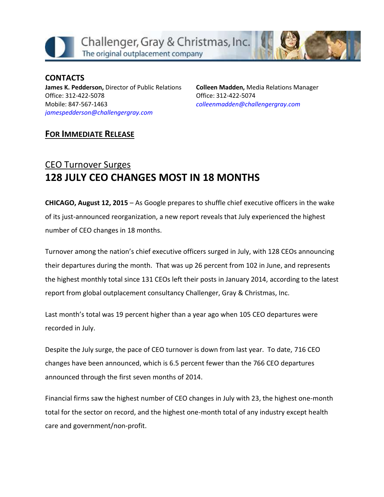



**CONTACTS James K. Pedderson,** Director of Public Relations Office: 312-422-5078 Mobile: 847-567-1463 *[jamespedderson@challengergray.com](mailto:jamespedderson@challengergray.com)*

**Colleen Madden,** Media Relations Manager Office: 312-422-5074 *[colleenmadden@challengergray.com](mailto:colleenmadden@challengergray.com)*

## **FOR IMMEDIATE RELEASE**

# CEO Turnover Surges **128 JULY CEO CHANGES MOST IN 18 MONTHS**

**CHICAGO, August 12, 2015** – As Google prepares to shuffle chief executive officers in the wake of its just-announced reorganization, a new report reveals that July experienced the highest number of CEO changes in 18 months.

Turnover among the nation's chief executive officers surged in July, with 128 CEOs announcing their departures during the month. That was up 26 percent from 102 in June, and represents the highest monthly total since 131 CEOs left their posts in January 2014, according to the latest report from global outplacement consultancy Challenger, Gray & Christmas, Inc.

Last month's total was 19 percent higher than a year ago when 105 CEO departures were recorded in July.

Despite the July surge, the pace of CEO turnover is down from last year. To date, 716 CEO changes have been announced, which is 6.5 percent fewer than the 766 CEO departures announced through the first seven months of 2014.

Financial firms saw the highest number of CEO changes in July with 23, the highest one-month total for the sector on record, and the highest one-month total of any industry except health care and government/non-profit.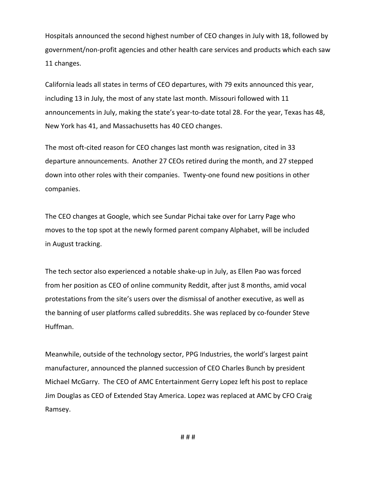Hospitals announced the second highest number of CEO changes in July with 18, followed by government/non-profit agencies and other health care services and products which each saw 11 changes.

California leads all states in terms of CEO departures, with 79 exits announced this year, including 13 in July, the most of any state last month. Missouri followed with 11 announcements in July, making the state's year-to-date total 28. For the year, Texas has 48, New York has 41, and Massachusetts has 40 CEO changes.

The most oft-cited reason for CEO changes last month was resignation, cited in 33 departure announcements. Another 27 CEOs retired during the month, and 27 stepped down into other roles with their companies. Twenty-one found new positions in other companies.

The CEO changes at Google, which see Sundar Pichai take over for Larry Page who moves to the top spot at the newly formed parent company Alphabet, will be included in August tracking.

The tech sector also experienced a notable shake-up in July, as Ellen Pao was forced from her position as CEO of online community Reddit, after just 8 months, amid vocal protestations from the site's users over the dismissal of another executive, as well as the banning of user platforms called subreddits. She was replaced by co-founder Steve Huffman.

Meanwhile, outside of the technology sector, PPG Industries, the world's largest paint manufacturer, announced the planned succession of CEO Charles Bunch by president Michael McGarry. The CEO of AMC Entertainment Gerry Lopez left his post to replace Jim Douglas as CEO of Extended Stay America. Lopez was replaced at AMC by CFO Craig Ramsey.

# # #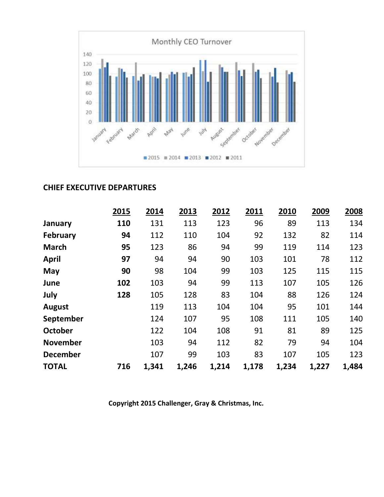

### **CHIEF EXECUTIVE DEPARTURES**

|                 | 2015 | 2014  | 2013  | 2012  | 2011  | 2010  | 2009  | 2008  |
|-----------------|------|-------|-------|-------|-------|-------|-------|-------|
| January         | 110  | 131   | 113   | 123   | 96    | 89    | 113   | 134   |
| <b>February</b> | 94   | 112   | 110   | 104   | 92    | 132   | 82    | 114   |
| <b>March</b>    | 95   | 123   | 86    | 94    | 99    | 119   | 114   | 123   |
| <b>April</b>    | 97   | 94    | 94    | 90    | 103   | 101   | 78    | 112   |
| May             | 90   | 98    | 104   | 99    | 103   | 125   | 115   | 115   |
| June            | 102  | 103   | 94    | 99    | 113   | 107   | 105   | 126   |
| July            | 128  | 105   | 128   | 83    | 104   | 88    | 126   | 124   |
| <b>August</b>   |      | 119   | 113   | 104   | 104   | 95    | 101   | 144   |
| September       |      | 124   | 107   | 95    | 108   | 111   | 105   | 140   |
| <b>October</b>  |      | 122   | 104   | 108   | 91    | 81    | 89    | 125   |
| <b>November</b> |      | 103   | 94    | 112   | 82    | 79    | 94    | 104   |
| <b>December</b> |      | 107   | 99    | 103   | 83    | 107   | 105   | 123   |
| <b>TOTAL</b>    | 716  | 1,341 | 1,246 | 1,214 | 1,178 | 1,234 | 1,227 | 1,484 |

**Copyright 2015 Challenger, Gray & Christmas, Inc.**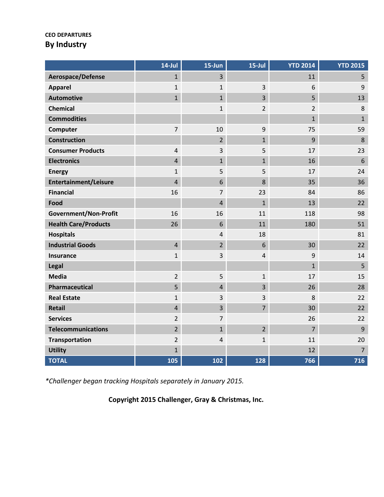#### **CEO DEPARTURES By Industry**

|                              | $14$ -Jul      | 15-Jun         | $15$ -Jul               | <b>YTD 2014</b> | <b>YTD 2015</b> |
|------------------------------|----------------|----------------|-------------------------|-----------------|-----------------|
| Aerospace/Defense            | $\mathbf{1}$   | $\overline{3}$ |                         | 11              | 5               |
| <b>Apparel</b>               | $\mathbf{1}$   | $\mathbf{1}$   | $\overline{\mathbf{3}}$ | 6               | $9$             |
| <b>Automotive</b>            | $\mathbf{1}$   | $\mathbf{1}$   | $\overline{3}$          | 5               | 13              |
| <b>Chemical</b>              |                | $\mathbf{1}$   | $\overline{2}$          | $\overline{2}$  | $\,8\,$         |
| <b>Commodities</b>           |                |                |                         | $\mathbf{1}$    | $\mathbf{1}$    |
| Computer                     | $\overline{7}$ | 10             | 9                       | 75              | 59              |
| <b>Construction</b>          |                | $\overline{2}$ | $\overline{1}$          | 9               | $\,8\,$         |
| <b>Consumer Products</b>     | $\overline{4}$ | 3              | 5                       | 17              | 23              |
| <b>Electronics</b>           | $\overline{4}$ | $\mathbf{1}$   | $\mathbf{1}$            | 16              | $6\,$           |
| <b>Energy</b>                | $\mathbf{1}$   | 5              | 5                       | 17              | 24              |
| Entertainment/Leisure        | $\overline{4}$ | 6              | 8                       | 35              | 36              |
| <b>Financial</b>             | 16             | $\overline{7}$ | 23                      | 84              | 86              |
| Food                         |                | $\overline{4}$ | $\mathbf{1}$            | 13              | 22              |
| <b>Government/Non-Profit</b> | 16             | 16             | 11                      | 118             | 98              |
| <b>Health Care/Products</b>  | 26             | $6\,$          | 11                      | 180             | 51              |
| <b>Hospitals</b>             |                | 4              | 18                      |                 | 81              |
| <b>Industrial Goods</b>      | $\overline{4}$ | $\overline{2}$ | 6                       | 30              | 22              |
| Insurance                    | $\mathbf 1$    | 3              | $\overline{4}$          | 9               | 14              |
| Legal                        |                |                |                         | $\mathbf{1}$    | 5               |
| <b>Media</b>                 | $\overline{2}$ | 5              | $\mathbf{1}$            | 17              | 15              |
| Pharmaceutical               | 5              | $\overline{4}$ | $\overline{3}$          | 26              | 28              |
| <b>Real Estate</b>           | $\mathbf 1$    | 3              | $\mathbf{3}$            | 8               | 22              |
| <b>Retail</b>                | $\overline{4}$ | $\overline{3}$ | $\overline{7}$          | 30              | 22              |
| <b>Services</b>              | $\overline{2}$ | $\overline{7}$ |                         | 26              | 22              |
| <b>Telecommunications</b>    | $\overline{2}$ | $\mathbf{1}$   | $\overline{2}$          | $\overline{7}$  | 9               |
| <b>Transportation</b>        | $\overline{2}$ | $\overline{4}$ | $\mathbf{1}$            | 11              | 20              |
| <b>Utility</b>               | $\mathbf{1}$   |                |                         | 12              | $\overline{7}$  |
| <b>TOTAL</b>                 | 105            | 102            | 128                     | 766             | 716             |

*\*Challenger began tracking Hospitals separately in January 2015.*

**Copyright 2015 Challenger, Gray & Christmas, Inc.**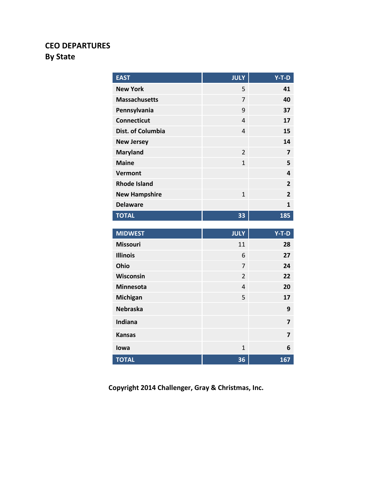# **CEO DEPARTURES By State**

| <b>EAST</b>              | <b>JULY</b>    | $Y-T-D$                 |
|--------------------------|----------------|-------------------------|
| <b>New York</b>          | 5              | 41                      |
| <b>Massachusetts</b>     | 7              | 40                      |
| Pennsylvania             | 9              | 37                      |
| <b>Connecticut</b>       | $\overline{4}$ | 17                      |
| <b>Dist. of Columbia</b> | $\overline{4}$ | 15                      |
| <b>New Jersey</b>        |                | 14                      |
| <b>Maryland</b>          | $\overline{2}$ | $\overline{\mathbf{z}}$ |
| <b>Maine</b>             | $\mathbf{1}$   | 5                       |
| <b>Vermont</b>           |                | 4                       |
| <b>Rhode Island</b>      |                | $\overline{2}$          |
| <b>New Hampshire</b>     | $\mathbf{1}$   | $\overline{2}$          |
| <b>Delaware</b>          |                | $\mathbf{1}$            |
| <b>TOTAL</b>             | 33             | 185                     |
|                          |                |                         |
|                          |                |                         |
| <b>MIDWEST</b>           | <b>JULY</b>    | $Y-T-D$                 |
| <b>Missouri</b>          | 11             | 28                      |
| <b>Illinois</b>          | 6              | 27                      |
| Ohio                     | 7              | 24                      |
| Wisconsin                | $\overline{2}$ | 22                      |
| <b>Minnesota</b>         | $\overline{4}$ | 20                      |
| Michigan                 | 5              | 17                      |
| <b>Nebraska</b>          |                | 9                       |
| <b>Indiana</b>           |                | 7                       |
| <b>Kansas</b>            |                | 7                       |
| lowa                     | $\overline{1}$ | 6                       |

**Copyright 2014 Challenger, Gray & Christmas, Inc.**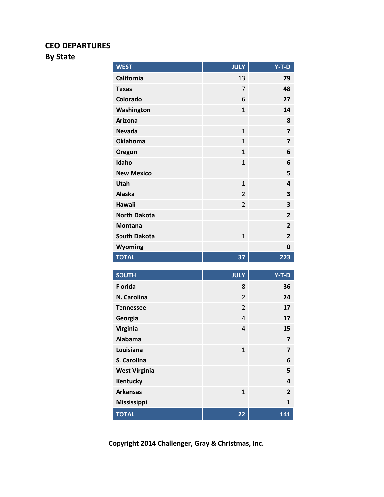## **CEO DEPARTURES**

# **By State**

| <b>WEST</b>                        | <b>JULY</b>    | $Y-T-D$                 |
|------------------------------------|----------------|-------------------------|
| <b>California</b>                  | 13             | 79                      |
| <b>Texas</b>                       | $\overline{7}$ | 48                      |
| Colorado                           | 6              | 27                      |
| Washington                         | $\mathbf{1}$   | 14                      |
| Arizona                            |                | 8                       |
| <b>Nevada</b>                      | $\mathbf{1}$   | $\overline{\mathbf{z}}$ |
| <b>Oklahoma</b>                    | $\mathbf{1}$   | $\overline{\mathbf{z}}$ |
| Oregon                             | $\mathbf{1}$   | 6                       |
| Idaho                              | $\mathbf{1}$   | 6                       |
| <b>New Mexico</b>                  |                | 5                       |
| Utah                               | $\mathbf{1}$   | 4                       |
| <b>Alaska</b>                      | $\overline{2}$ | 3                       |
| <b>Hawaii</b>                      | $\overline{2}$ | 3                       |
| <b>North Dakota</b>                |                | $\overline{2}$          |
| <b>Montana</b>                     |                | $\overline{2}$          |
| <b>South Dakota</b>                | $\mathbf{1}$   | 2                       |
| Wyoming                            |                | 0                       |
| <b>TOTAL</b>                       | 37             | 223                     |
|                                    |                |                         |
| <b>SOUTH</b>                       | <b>JULY</b>    | $Y-T-D$                 |
| <b>Florida</b>                     | 8              | 36                      |
| N. Carolina                        | $\overline{2}$ | 24                      |
| <b>Tennessee</b>                   | $\overline{2}$ | 17                      |
| Georgia                            | $\overline{4}$ | 17                      |
| Virginia                           | $\overline{4}$ | 15                      |
| <b>Alabama</b>                     |                | 7                       |
| Louisiana                          | $\mathbf{1}$   | $\overline{7}$          |
| S. Carolina                        |                | 6                       |
| <b>West Virginia</b>               |                | 5                       |
| Kentucky                           |                | 4                       |
| <b>Arkansas</b>                    | $\mathbf{1}$   | 2                       |
|                                    |                | 1                       |
| <b>Mississippi</b><br><b>TOTAL</b> |                |                         |

**Copyright 2014 Challenger, Gray & Christmas, Inc.**